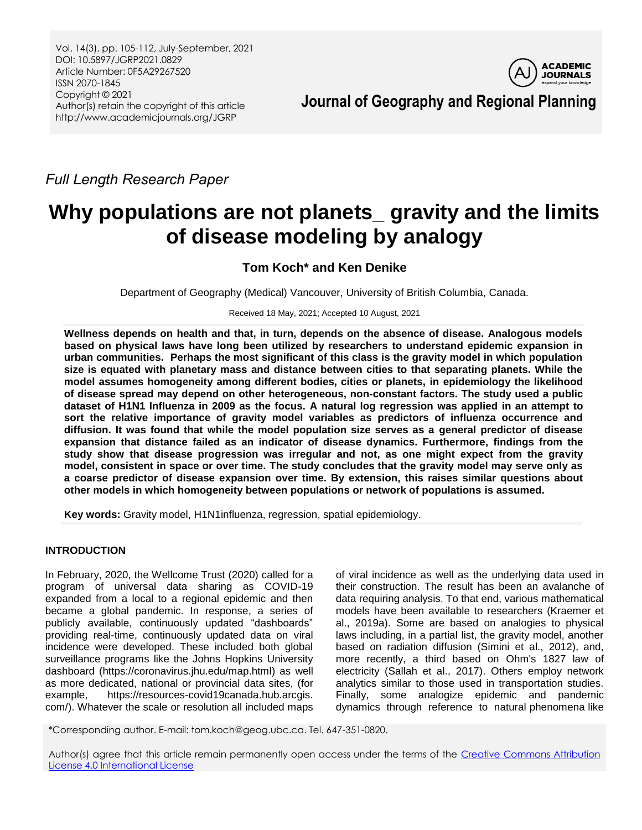Vol. 14(3), pp. 105-112, July-September, 2021 DOI: 10.5897/JGRP2021.0829 Article Number: 0F5A29267520 ISSN 2070-1845 Copyright © 2021 Author(s) retain the copyright of this article http://www.academicjournals.org/JGRP



**Journal of Geography and Regional Planning**

*Full Length Research Paper*

# **Why populations are not planets\_ gravity and the limits of disease modeling by analogy**

# **Tom Koch\* and Ken Denike**

Department of Geography (Medical) Vancouver, University of British Columbia, Canada.

Received 18 May, 2021; Accepted 10 August, 2021

**Wellness depends on health and that, in turn, depends on the absence of disease. Analogous models based on physical laws have long been utilized by researchers to understand epidemic expansion in urban communities. Perhaps the most significant of this class is the gravity model in which population size is equated with planetary mass and distance between cities to that separating planets. While the model assumes homogeneity among different bodies, cities or planets, in epidemiology the likelihood of disease spread may depend on other heterogeneous, non-constant factors. The study used a public dataset of H1N1 Influenza in 2009 as the focus. A natural log regression was applied in an attempt to sort the relative importance of gravity model variables as predictors of influenza occurrence and diffusion. It was found that while the model population size serves as a general predictor of disease expansion that distance failed as an indicator of disease dynamics. Furthermore, findings from the study show that disease progression was irregular and not, as one might expect from the gravity model, consistent in space or over time. The study concludes that the gravity model may serve only as a coarse predictor of disease expansion over time. By extension, this raises similar questions about other models in which homogeneity between populations or network of populations is assumed.**

**Key words:** Gravity model, H1N1influenza, regression, spatial epidemiology.

# **INTRODUCTION**

In February, 2020, the Wellcome Trust (2020) called for a program of universal data sharing as COVID-19 expanded from a local to a regional epidemic and then became a global pandemic. In response, a series of publicly available, continuously updated "dashboards" providing real-time, continuously updated data on viral incidence were developed. These included both global surveillance programs like the Johns Hopkins University dashboard [\(https://coronavirus.jhu.edu/map.html\)](https://coronavirus.jhu.edu/map.html) as well as more dedicated, national or provincial data sites, (for example, https://resources-covid19canada.hub.arcgis. com/). Whatever the scale or resolution all included maps

of viral incidence as well as the underlying data used in their construction. The result has been an avalanche of data requiring analysis. To that end, various mathematical models have been available to researchers (Kraemer et al., 2019a). Some are based on analogies to physical laws including, in a partial list, the gravity model, another based on radiation diffusion (Simini et al., 2012), and, more recently, a third based on Ohm's 1827 law of electricity (Sallah et al., 2017). Others employ network analytics similar to those used in transportation studies. Finally, some analogize epidemic and pandemic dynamics through reference to natural phenomena like

\*Corresponding author. E-mail: tom.koch@geog.ubc.ca. Tel. 647-351-0820.

Author(s) agree that this article remain permanently open access under the terms of the Creative Commons Attribution [License 4.0 International License](http://creativecommons.org/licenses/by/4.0/deed.en_US)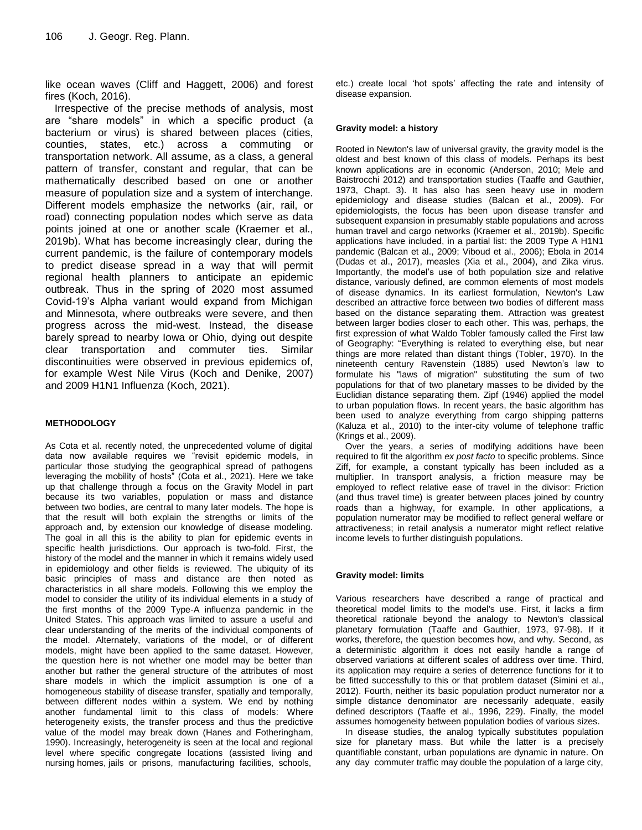like ocean waves (Cliff and Haggett, 2006) and forest fires (Koch, 2016).

Irrespective of the precise methods of analysis, most are "share models" in which a specific product (a bacterium or virus) is shared between places (cities, counties, states, etc.) across a commuting or transportation network. All assume, as a class, a general pattern of transfer, constant and regular, that can be mathematically described based on one or another measure of population size and a system of interchange. Different models emphasize the networks (air, rail, or road) connecting population nodes which serve as data points joined at one or another scale (Kraemer et al., 2019b). What has become increasingly clear, during the current pandemic, is the failure of contemporary models to predict disease spread in a way that will permit regional health planners to anticipate an epidemic outbreak. Thus in the spring of 2020 most assumed Covid-19's Alpha variant would expand from Michigan and Minnesota, where outbreaks were severe, and then progress across the mid-west. Instead, the disease barely spread to nearby Iowa or Ohio, dying out despite clear transportation and commuter ties. Similar discontinuities were observed in previous epidemics of, for example West Nile Virus (Koch and Denike, 2007) and 2009 H1N1 Influenza (Koch, 2021).

#### **METHODOLOGY**

As Cota et al. recently noted, the unprecedented volume of digital data now available requires we "revisit epidemic models, in particular those studying the geographical spread of pathogens leveraging the mobility of hosts" (Cota et al., 2021). Here we take up that challenge through a focus on the Gravity Model in part because its two variables, population or mass and distance between two bodies, are central to many later models. The hope is that the result will both explain the strengths or limits of the approach and, by extension our knowledge of disease modeling. The goal in all this is the ability to plan for epidemic events in specific health jurisdictions. Our approach is two-fold. First, the history of the model and the manner in which it remains widely used in epidemiology and other fields is reviewed. The ubiquity of its basic principles of mass and distance are then noted as characteristics in all share models. Following this we employ the model to consider the utility of its individual elements in a study of the first months of the 2009 Type-A influenza pandemic in the United States. This approach was limited to assure a useful and clear understanding of the merits of the individual components of the model. Alternately, variations of the model, or of different models, might have been applied to the same dataset. However, the question here is not whether one model may be better than another but rather the general structure of the attributes of most share models in which the implicit assumption is one of a homogeneous stability of disease transfer, spatially and temporally, between different nodes within a system. We end by nothing another fundamental limit to this class of models: Where heterogeneity exists, the transfer process and thus the predictive value of the model may break down (Hanes and Fotheringham, 1990). Increasingly, heterogeneity is seen at the local and regional level where specific congregate locations (assisted living and nursing homes, jails or prisons, manufacturing facilities, schools,

etc.) create local ‗hot spots' affecting the rate and intensity of disease expansion.

#### **Gravity model: a history**

Rooted in Newton's law of universal gravity, the gravity model is the oldest and best known of this class of models. Perhaps its best known applications are in economic (Anderson, 2010; Mele and Baistrocchi 2012) and transportation studies (Taaffe and Gauthier, 1973, Chapt. 3). It has also has seen heavy use in modern epidemiology and disease studies (Balcan et al., 2009). For epidemiologists, the focus has been upon disease transfer and subsequent expansion in presumably stable populations and across human travel and cargo networks (Kraemer et al., 2019b). Specific applications have included, in a partial list: the 2009 Type A H1N1 pandemic (Balcan et al., 2009; Viboud et al., 2006); Ebola in 2014 (Dudas et al., 2017), measles (Xia et al., 2004), and Zika virus. Importantly, the model's use of both population size and relative distance, variously defined, are common elements of most models of disease dynamics. In its earliest formulation, Newton's Law described an attractive force between two bodies of different mass based on the distance separating them. Attraction was greatest between larger bodies closer to each other. This was, perhaps, the first expression of what Waldo Tobler famously called the First law of Geography: "Everything is related to everything else, but near things are more related than distant things (Tobler, 1970). In the nineteenth century Ravenstein (1885) used Newton's law to formulate his "laws of migration" substituting the sum of two populations for that of two planetary masses to be divided by the Euclidian distance separating them. Zipf (1946) applied the model to urban population flows. In recent years, the basic algorithm has been used to analyze everything from cargo shipping patterns (Kaluza et al., 2010) to the inter-city volume of telephone traffic (Krings et al., 2009).

Over the years, a series of modifying additions have been required to fit the algorithm *ex post facto* to specific problems. Since Ziff, for example, a constant typically has been included as a multiplier. In transport analysis, a friction measure may be employed to reflect relative ease of travel in the divisor: Friction (and thus travel time) is greater between places joined by country roads than a highway, for example. In other applications, a population numerator may be modified to reflect general welfare or attractiveness; in retail analysis a numerator might reflect relative income levels to further distinguish populations.

#### **Gravity model: limits**

Various researchers have described a range of practical and theoretical model limits to the model's use. First, it lacks a firm theoretical rationale beyond the analogy to Newton's classical planetary formulation (Taaffe and Gauthier, 1973, 97-98). If it works, therefore, the question becomes how, and why. Second, as a deterministic algorithm it does not easily handle a range of observed variations at different scales of address over time. Third, its application may require a series of deterrence functions for it to be fitted successfully to this or that problem dataset (Simini et al., 2012). Fourth, neither its basic population product numerator nor a simple distance denominator are necessarily adequate, easily defined descriptors (Taaffe et al., 1996, 229). Finally, the model assumes homogeneity between population bodies of various sizes.

In disease studies, the analog typically substitutes population size for planetary mass. But while the latter is a precisely quantifiable constant, urban populations are dynamic in nature. On any day commuter traffic may double the population of a large city,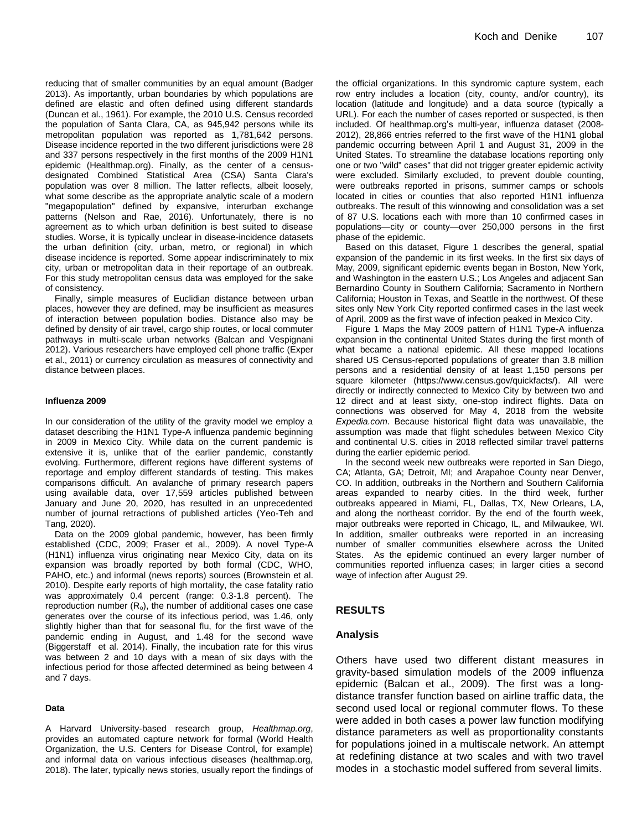reducing that of smaller communities by an equal amount (Badger 2013). As importantly, urban boundaries by which populations are defined are elastic and often defined using different standards (Duncan et al., 1961). For example, the 2010 U.S. Census recorded the population of Santa Clara, CA, as 945,942 persons while its metropolitan population was reported as 1,781,642 persons. Disease incidence reported in the two different jurisdictions were 28 and 337 persons respectively in the first months of the 2009 H1N1 epidemic (Healthmap.org). Finally, as the center of a censusdesignated Combined Statistical Area (CSA) Santa Clara's population was over 8 million. The latter reflects, albeit loosely, what some describe as the appropriate analytic scale of a modern "megapopulation" defined by expansive, interurban exchange patterns (Nelson and Rae, 2016). Unfortunately, there is no agreement as to which urban definition is best suited to disease studies. Worse, it is typically unclear in disease-incidence datasets the urban definition (city, urban, metro, or regional) in which disease incidence is reported. Some appear indiscriminately to mix city, urban or metropolitan data in their reportage of an outbreak. For this study metropolitan census data was employed for the sake of consistency.

Finally, simple measures of Euclidian distance between urban places, however they are defined, may be insufficient as measures of interaction between population bodies. Distance also may be defined by density of air travel, cargo ship routes, or local commuter pathways in multi-scale urban networks (Balcan and Vespignani 2012). Various researchers have employed cell phone traffic (Exper et al., 2011) or currency circulation as measures of connectivity and distance between places.

#### **Influenza 2009**

In our consideration of the utility of the gravity model we employ a dataset describing the H1N1 Type-A influenza pandemic beginning in 2009 in Mexico City. While data on the current pandemic is extensive it is, unlike that of the earlier pandemic, constantly evolving. Furthermore, different regions have different systems of reportage and employ different standards of testing. This makes comparisons difficult. An avalanche of primary research papers using available data, over 17,559 articles published between January and June 20, 2020, has resulted in an unprecedented number of journal retractions of published articles (Yeo-Teh and Tang, 2020).

Data on the 2009 global pandemic, however, has been firmly established (CDC, 2009; Fraser et al., 2009). A novel Type-A (H1N1) influenza virus originating near Mexico City, data on its expansion was broadly reported by both formal (CDC, WHO, PAHO, etc.) and informal (news reports) sources (Brownstein et al. 2010). Despite early reports of high mortality, the case fatality ratio was approximately 0.4 percent (range: 0.3-1.8 percent). The reproduction number  $(R_o)$ , the number of additional cases one case generates over the course of its infectious period, was 1.46, only slightly higher than that for seasonal flu, for the first wave of the pandemic ending in August, and 1.48 for the second wave (Biggerstaff et al. 2014). Finally, the incubation rate for this virus was between 2 and 10 days with a mean of six days with the infectious period for those affected determined as being between 4 and 7 days.

#### **Data**

A Harvard University-based research group, *Healthmap.org*, provides an automated capture network for formal (World Health Organization, the U.S. Centers for Disease Control, for example) and informal data on various infectious diseases (healthmap.org, 2018). The later, typically news stories, usually report the findings of

the official organizations. In this syndromic capture system, each row entry includes a location (city, county, and/or country), its location (latitude and longitude) and a data source (typically a URL). For each the number of cases reported or suspected, is then included. Of healthmap.org's multi-year, influenza dataset (2008- 2012), 28,866 entries referred to the first wave of the H1N1 global pandemic occurring between April 1 and August 31, 2009 in the United States. To streamline the database locations reporting only one or two "wild" cases" that did not trigger greater epidemic activity were excluded. Similarly excluded, to prevent double counting, were outbreaks reported in prisons, summer camps or schools located in cities or counties that also reported H1N1 influenza outbreaks. The result of this winnowing and consolidation was a set of 87 U.S. locations each with more than 10 confirmed cases in populations—city or county—over 250,000 persons in the first phase of the epidemic.

Based on this dataset, Figure 1 describes the general, spatial expansion of the pandemic in its first weeks. In the first six days of May, 2009, significant epidemic events began in Boston, New York, and Washington in the eastern U.S.; Los Angeles and adjacent San Bernardino County in Southern California; Sacramento in Northern California; Houston in Texas, and Seattle in the northwest. Of these sites only New York City reported confirmed cases in the last week of April, 2009 as the first wave of infection peaked in Mexico City.

Figure 1 Maps the May 2009 pattern of H1N1 Type-A influenza expansion in the continental United States during the first month of what became a national epidemic. All these mapped locations shared US Census-reported populations of greater than 3.8 million persons and a residential density of at least 1,150 persons per square kilometer (https://www.census.gov/quickfacts/). All were directly or indirectly connected to Mexico City by between two and 12 direct and at least sixty, one-stop indirect flights. Data on connections was observed for May 4, 2018 from the website *Expedia.com*. Because historical flight data was unavailable, the assumption was made that flight schedules between Mexico City and continental U.S. cities in 2018 reflected similar travel patterns during the earlier epidemic period.

In the second week new outbreaks were reported in San Diego, CA; Atlanta, GA; Detroit, MI; and Arapahoe County near Denver, CO. In addition, outbreaks in the Northern and Southern California areas expanded to nearby cities. In the third week, further outbreaks appeared in Miami, FL, Dallas, TX, New Orleans, LA, and along the northeast corridor. By the end of the fourth week, major outbreaks were reported in Chicago, IL, and Milwaukee, WI. In addition, smaller outbreaks were reported in an increasing number of smaller communities elsewhere across the United States. As the epidemic continued an every larger number of communities reported influenza cases; in larger cities a second wave of infection after August 29.

#### **RESULTS**

#### **Analysis**

Others have used two different distant measures in gravity-based simulation models of the 2009 influenza epidemic (Balcan et al., 2009). The first was a longdistance transfer function based on airline traffic data, the second used local or regional commuter flows. To these were added in both cases a power law function modifying distance parameters as well as proportionality constants for populations joined in a multiscale network. An attempt at redefining distance at two scales and with two travel modes in a stochastic model suffered from several limits.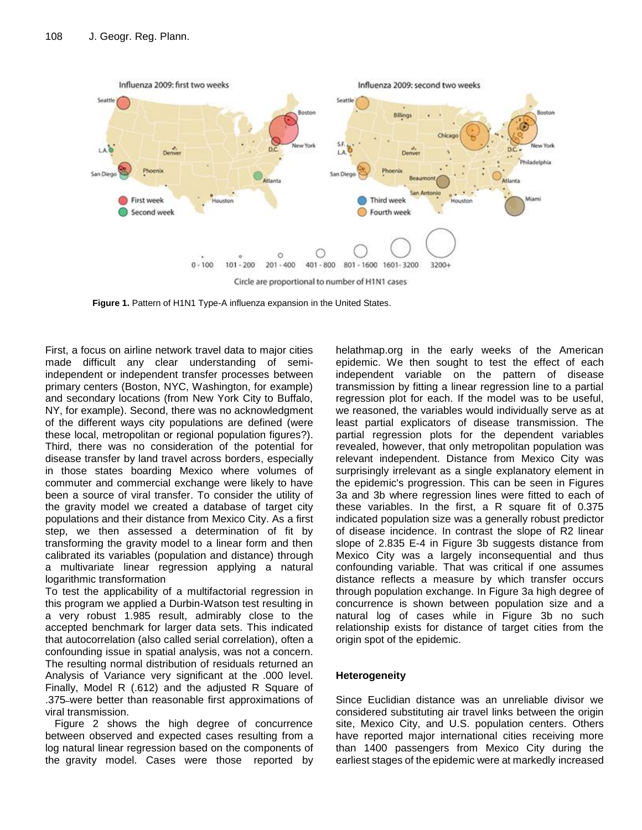

**Figure 1.** Pattern of H1N1 Type-A influenza expansion in the United States.

First, a focus on airline network travel data to major cities made difficult any clear understanding of semiindependent or independent transfer processes between primary centers (Boston, NYC, Washington, for example) and secondary locations (from New York City to Buffalo, NY, for example). Second, there was no acknowledgment of the different ways city populations are defined (were these local, metropolitan or regional population figures?). Third, there was no consideration of the potential for disease transfer by land travel across borders, especially in those states boarding Mexico where volumes of commuter and commercial exchange were likely to have been a source of viral transfer. To consider the utility of the gravity model we created a database of target city populations and their distance from Mexico City. As a first step, we then assessed a determination of fit by transforming the gravity model to a linear form and then calibrated its variables (population and distance) through a multivariate linear regression applying a natural logarithmic transformation

To test the applicability of a multifactorial regression in this program we applied a Durbin-Watson test resulting in a very robust 1.985 result, admirably close to the accepted benchmark for larger data sets. This indicated that autocorrelation (also called serial correlation), often a confounding issue in spatial analysis, was not a concern. The resulting normal distribution of residuals returned an Analysis of Variance very significant at the .000 level. Finally, Model R (.612) and the adjusted R Square of .375 were better than reasonable first approximations of viral transmission.

Figure 2 shows the high degree of concurrence between observed and expected cases resulting from a log natural linear regression based on the components of the gravity model. Cases were those reported by

helathmap.org in the early weeks of the American epidemic. We then sought to test the effect of each independent variable on the pattern of disease transmission by fitting a linear regression line to a partial regression plot for each. If the model was to be useful, we reasoned, the variables would individually serve as at least partial explicators of disease transmission. The partial regression plots for the dependent variables revealed, however, that only metropolitan population was relevant independent. Distance from Mexico City was surprisingly irrelevant as a single explanatory element in the epidemic's progression. This can be seen in Figures 3a and 3b where regression lines were fitted to each of these variables. In the first, a R square fit of 0.375 indicated population size was a generally robust predictor of disease incidence. In contrast the slope of R2 linear slope of 2.835 E-4 in Figure 3b suggests distance from Mexico City was a largely inconsequential and thus confounding variable. That was critical if one assumes distance reflects a measure by which transfer occurs through population exchange. In Figure 3a high degree of concurrence is shown between population size and a natural log of cases while in Figure 3b no such relationship exists for distance of target cities from the origin spot of the epidemic.

# **Heterogeneity**

Since Euclidian distance was an unreliable divisor we considered substituting air travel links between the origin site, Mexico City, and U.S. population centers. Others have reported major international cities receiving more than 1400 passengers from Mexico City during the earliest stages of the epidemic were at markedly increased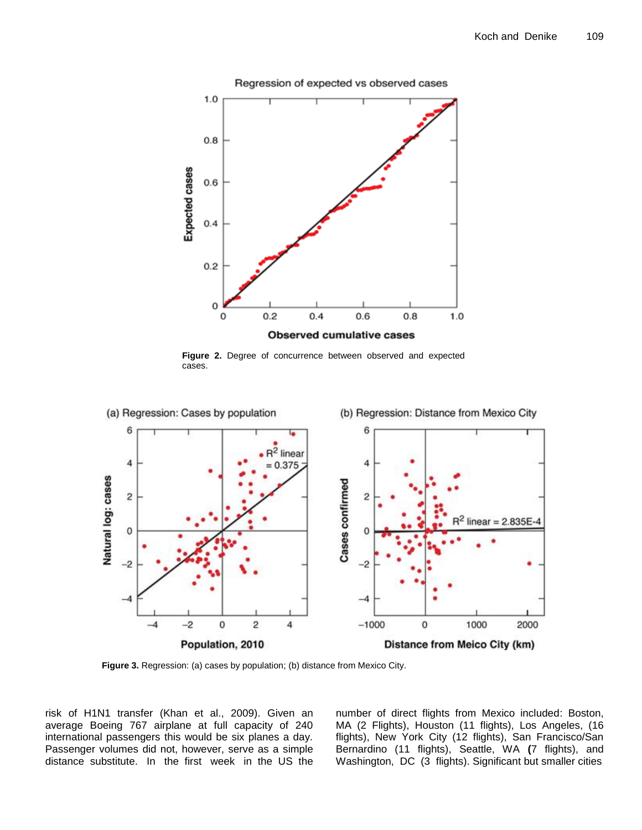

**Figure 2.** Degree of concurrence between observed and expected cases.



**Figure 3.** Regression: (a) cases by population; (b) distance from Mexico City.

risk of H1N1 transfer (Khan et al., 2009). Given an average Boeing 767 airplane at full capacity of 240 international passengers this would be six planes a day. Passenger volumes did not, however, serve as a simple distance substitute. In the first week in the US the number of direct flights from Mexico included: Boston, MA (2 Flights), Houston (11 flights), Los Angeles, (16 flights), New York City (12 flights), San Francisco/San Bernardino (11 flights), Seattle, WA **(**7 flights), and Washington, DC (3 flights). Significant but smaller cities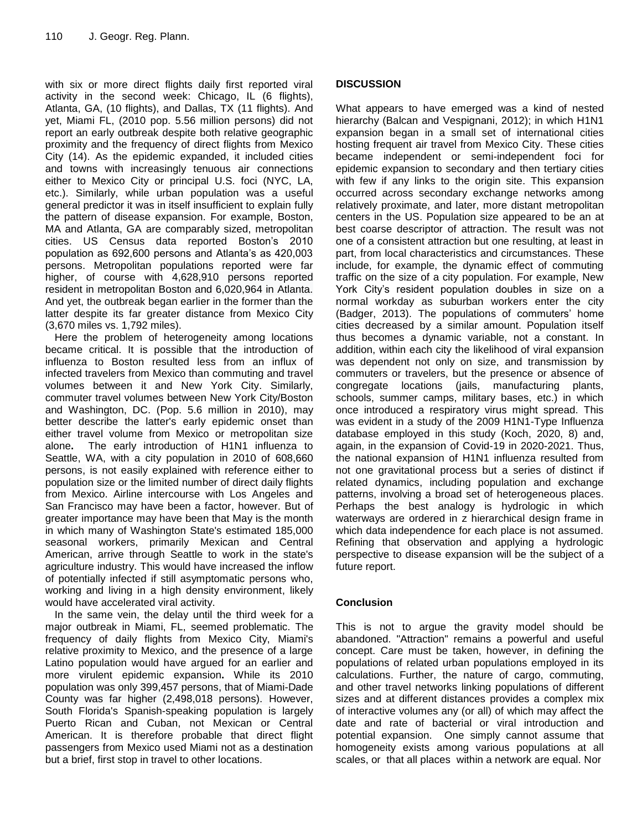with six or more direct flights daily first reported viral activity in the second week: Chicago, IL (6 flights), Atlanta, GA, (10 flights), and Dallas, TX (11 flights). And yet, Miami FL, (2010 pop. 5.56 million persons) did not report an early outbreak despite both relative geographic proximity and the frequency of direct flights from Mexico City (14). As the epidemic expanded, it included cities and towns with increasingly tenuous air connections either to Mexico City or principal U.S. foci (NYC, LA, etc.). Similarly, while urban population was a useful general predictor it was in itself insufficient to explain fully the pattern of disease expansion. For example, Boston, MA and Atlanta, GA are comparably sized, metropolitan cities. US Census data reported Boston's 2010 population as 692,600 persons and Atlanta's as 420,003 persons. Metropolitan populations reported were far higher, of course with 4,628,910 persons reported resident in metropolitan Boston and 6,020,964 in Atlanta. And yet, the outbreak began earlier in the former than the latter despite its far greater distance from Mexico City (3,670 miles vs. 1,792 miles).

Here the problem of heterogeneity among locations became critical. It is possible that the introduction of influenza to Boston resulted less from an influx of infected travelers from Mexico than commuting and travel volumes between it and New York City. Similarly, commuter travel volumes between New York City/Boston and Washington, DC. (Pop. 5.6 million in 2010), may better describe the latter's early epidemic onset than either travel volume from Mexico or metropolitan size alone**.** The early introduction of H1N1 influenza to Seattle, WA, with a city population in 2010 of 608,660 persons, is not easily explained with reference either to population size or the limited number of direct daily flights from Mexico. Airline intercourse with Los Angeles and San Francisco may have been a factor, however. But of greater importance may have been that May is the month in which many of Washington State's estimated 185,000 seasonal workers, primarily Mexican and Central American, arrive through Seattle to work in the state's agriculture industry. This would have increased the inflow of potentially infected if still asymptomatic persons who, working and living in a high density environment, likely would have accelerated viral activity.

In the same vein, the delay until the third week for a major outbreak in Miami, FL, seemed problematic. The frequency of daily flights from Mexico City, Miami's relative proximity to Mexico, and the presence of a large Latino population would have argued for an earlier and more virulent epidemic expansion**.** While its 2010 population was only 399,457 persons, that of Miami-Dade County was far higher (2,498,018 persons). However, South Florida's Spanish-speaking population is largely Puerto Rican and Cuban, not Mexican or Central American. It is therefore probable that direct flight passengers from Mexico used Miami not as a destination but a brief, first stop in travel to other locations.

# **DISCUSSION**

What appears to have emerged was a kind of nested hierarchy (Balcan and Vespignani, 2012); in which H1N1 expansion began in a small set of international cities hosting frequent air travel from Mexico City. These cities became independent or semi-independent foci for epidemic expansion to secondary and then tertiary cities with few if any links to the origin site. This expansion occurred across secondary exchange networks among relatively proximate, and later, more distant metropolitan centers in the US. Population size appeared to be an at best coarse descriptor of attraction. The result was not one of a consistent attraction but one resulting, at least in part, from local characteristics and circumstances. These include, for example, the dynamic effect of commuting traffic on the size of a city population. For example, New York City's resident population doubles in size on a normal workday as suburban workers enter the city (Badger, 2013). The populations of commuters' home cities decreased by a similar amount. Population itself thus becomes a dynamic variable, not a constant. In addition, within each city the likelihood of viral expansion was dependent not only on size, and transmission by commuters or travelers, but the presence or absence of congregate locations (jails, manufacturing plants, schools, summer camps, military bases, etc.) in which once introduced a respiratory virus might spread. This was evident in a study of the 2009 H1N1-Type Influenza database employed in this study (Koch, 2020, 8) and, again, in the expansion of Covid-19 in 2020-2021. Thus, the national expansion of H1N1 influenza resulted from not one gravitational process but a series of distinct if related dynamics, including population and exchange patterns, involving a broad set of heterogeneous places. Perhaps the best analogy is hydrologic in which waterways are ordered in z hierarchical design frame in which data independence for each place is not assumed. Refining that observation and applying a hydrologic perspective to disease expansion will be the subject of a future report.

# **Conclusion**

This is not to argue the gravity model should be abandoned. "Attraction" remains a powerful and useful concept. Care must be taken, however, in defining the populations of related urban populations employed in its calculations. Further, the nature of cargo, commuting, and other travel networks linking populations of different sizes and at different distances provides a complex mix of interactive volumes any (or all) of which may affect the date and rate of bacterial or viral introduction and potential expansion. One simply cannot assume that homogeneity exists among various populations at all scales, or that all places within a network are equal. Nor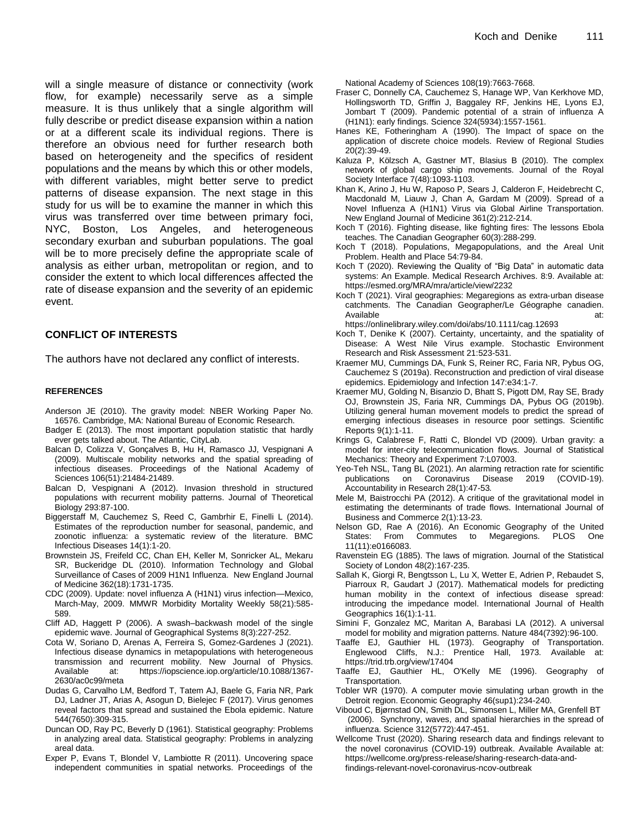will a single measure of distance or connectivity (work flow, for example) necessarily serve as a simple measure. It is thus unlikely that a single algorithm will fully describe or predict disease expansion within a nation or at a different scale its individual regions. There is therefore an obvious need for further research both based on heterogeneity and the specifics of resident populations and the means by which this or other models, with different variables, might better serve to predict patterns of disease expansion. The next stage in this study for us will be to examine the manner in which this virus was transferred over time between primary foci, NYC, Boston, Los Angeles, and heterogeneous secondary exurban and suburban populations. The goal will be to more precisely define the appropriate scale of analysis as either urban, metropolitan or region, and to consider the extent to which local differences affected the rate of disease expansion and the severity of an epidemic event.

#### **CONFLICT OF INTERESTS**

The authors have not declared any conflict of interests.

#### **REFERENCES**

- Anderson JE (2010). The gravity model: NBER Working Paper No. 16576. Cambridge, MA: National Bureau of Economic Research.
- Badger E (2013). The most important population statistic that hardly ever gets talked about. The Atlantic, CityLab.
- Balcan D, Colizza V, Gonçalves B, Hu H, Ramasco JJ, Vespignani A (2009). Multiscale mobility networks and the spatial spreading of infectious diseases. Proceedings of the National Academy of Sciences 106(51):21484-21489.
- Balcan D, Vespignani A (2012). Invasion threshold in structured populations with recurrent mobility patterns. Journal of Theoretical Biology 293:87-100.
- Biggerstaff M, Cauchemez S, Reed C, Gambrhir E, Finelli L (2014). Estimates of the reproduction number for seasonal, pandemic, and zoonotic influenza: a systematic review of the literature. BMC Infectious Diseases 14(1):1-20.
- Brownstein JS, Freifeld CC, Chan EH, Keller M, Sonricker AL, Mekaru SR, Buckeridge DL (2010). Information Technology and Global Surveillance of Cases of 2009 H1N1 Influenza. New England Journal of Medicine 362(18):1731-1735.
- CDC (2009). Update: novel influenza A (H1N1) virus infection—Mexico, March-May, 2009. MMWR Morbidity Mortality Weekly 58(21):585- 589.
- Cliff AD, Haggett P (2006). A swash–backwash model of the single epidemic wave. Journal of Geographical Systems 8(3):227-252.
- Cota W, Soriano D, Arenas A, Ferreira S, Gomez-Gardenes J (2021). Infectious disease dynamics in metapopulations with heterogeneous transmission and recurrent mobility. New Journal of Physics. Available at: [https://iopscience.iop.org/article/10.1088/1367-](https://iopscience.iop.org/article/10.1088/1367-2630/ac0c99/meta) [2630/ac0c99/meta](https://iopscience.iop.org/article/10.1088/1367-2630/ac0c99/meta)
- Dudas G, Carvalho LM, Bedford T, Tatem AJ, Baele G, Faria NR, Park DJ, Ladner JT, Arias A, Asogun D, Bielejec F (2017). [Virus genomes](https://www.nature.com/nature/journal/v544/n7650/abs/nature22040.html)  [reveal factors that spread and sustained the Ebola epidemic.](https://www.nature.com/nature/journal/v544/n7650/abs/nature22040.html) Nature 544(7650):309-315.
- Duncan OD, Ray PC, Beverly D (1961). Statistical geography: Problems in analyzing areal data. Statistical geography: Problems in analyzing areal data.
- Exper P, Evans T, Blondel V, Lambiotte R (2011). Uncovering space independent communities in spatial networks. Proceedings of the

National Academy of Sciences 108(19):7663-7668.

- Fraser C, Donnelly CA, Cauchemez S, Hanage WP, Van Kerkhove MD, Hollingsworth TD, Griffin J, Baggaley RF, Jenkins HE, Lyons EJ, Jombart T (2009). Pandemic potential of a strain of influenza A (H1N1): early findings. Science 324(5934):1557-1561.
- Hanes KE, Fotheringham A (1990). The Impact of space on the application of discrete choice models. Review of Regional Studies 20(2):39-49.
- Kaluza P, Kölzsch A, Gastner MT, Blasius B (2010). The complex network of global cargo ship movements. Journal of the Royal Society Interface 7(48):1093-1103.
- Khan K, Arino J, Hu W, Raposo P, Sears J, Calderon F, Heidebrecht C, Macdonald M, Liauw J, Chan A, Gardam M (2009). Spread of a Novel Influenza A (H1N1) Virus via Global Airline Transportation. New England Journal of Medicine 361(2):212-214.
- Koch T (2016). Fighting disease, like fighting fires: The lessons Ebola teaches. The Canadian Geographer 60(3):288-299.
- Koch T (2018). Populations, Megapopulations, and the Areal Unit Problem. Health and Place 54:79-84.
- Koch T (2020). Reviewing the Quality of "Big Data" in automatic data systems: An Example. Medical Research Archives. 8:9. Available at: <https://esmed.org/MRA/mra/article/view/2232>
- Koch T (2021). Viral geographies: Megaregions as extra‐urban disease catchments. The Canadian Geographer/Le Géographe canadien. Available at:

<https://onlinelibrary.wiley.com/doi/abs/10.1111/cag.12693>

- Koch T, Denike K (2007). Certainty, uncertainty, and the spatiality of Disease: A West Nile Virus example. Stochastic Environment Research and Risk Assessment 21:523-531.
- Kraemer MU, Cummings DA, Funk S, Reiner RC, Faria NR, Pybus OG, Cauchemez S (2019a). Reconstruction and prediction of viral disease epidemics. Epidemiology and Infection 147:e34:1-7.
- Kraemer MU, Golding N, Bisanzio D, Bhatt S, Pigott DM, Ray SE, Brady OJ, Brownstein JS, Faria NR, Cummings DA, Pybus OG (2019b). Utilizing general human movement models to predict the spread of emerging infectious diseases in resource poor settings. Scientific Reports 9(1):1-11.
- Krings G, Calabrese F, Ratti C, Blondel VD (2009). Urban gravity: a model for inter-city telecommunication flows. Journal of Statistical Mechanics: Theory and Experiment 7:L07003.
- Yeo-Teh NSL, Tang BL (2021). An alarming retraction rate for scientific publications on Coronavirus Disease 2019 (COVID-19). Accountability in Research 28(1):47-53*.*
- Mele M, Baistrocchi PA (2012). A critique of the gravitational model in estimating the determinants of trade flows. International Journal of Business and Commerce 2(1):13-23.
- Nelson GD, Rae A (2016). An Economic Geography of the United States: From Commutes to Megaregions. PLOS One 11(11):e0166083.
- Ravenstein EG (1885). The laws of migration. Journal of the Statistical Society of London 48(2):167-235.
- Sallah K, Giorgi R, Bengtsson L, Lu X, Wetter E, Adrien P, Rebaudet S, Piarroux R, Gaudart J (2017). Mathematical models for predicting human mobility in the context of infectious disease spread: introducing the impedance model. International Journal of Health Geographics 16(1):1-11.
- Simini F, Gonzalez MC, Maritan A, Barabasi LA (2012). A universal model for mobility and migration patterns. Nature 484(7392):96-100.
- Taaffe EJ, Gauthier HL (1973). Geography of Transportation. Englewood Cliffs, N.J.: Prentice Hall, 1973. Available at: <https://trid.trb.org/view/17404>
- Taaffe EJ, Gauthier HL, O'Kelly ME (1996). Geography of Transportation.
- Tobler WR (1970). A computer movie simulating urban growth in the Detroit region. Economic Geography 46(sup1):234-240.
- Viboud C, Bjørnstad ON, Smith DL, Simonsen L, Miller MA, Grenfell BT (2006). Synchrony, waves, and spatial hierarchies in the spread of influenza. Science 312(5772):447-451.
- Wellcome Trust (2020). Sharing research data and findings relevant to the novel coronavirus (COVID-19) outbreak. Available Available at: [https://wellcome.org/press-release/sharing-research-data-and](https://wellcome.org/press-release/sharing-research-data-and-findings-relevant-novel-coronavirus-ncov-outbreak)[findings-relevant-novel-coronavirus-ncov-outbreak](https://wellcome.org/press-release/sharing-research-data-and-findings-relevant-novel-coronavirus-ncov-outbreak)